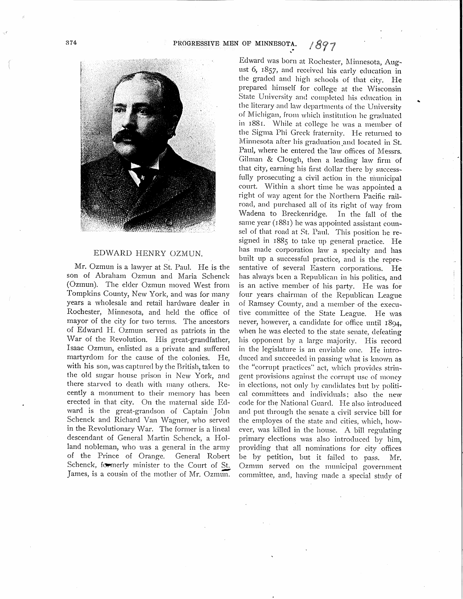

## EDWARD HENRY OZMUN.

Mr. Ozmun is a lawyer at St. Paul. He is the son of Abraham Ozmun and Maria Schenck (Ozmun). The elder Ozmun moved West from Tompkins County, New York, and was for many years a wholesale and retail hardware dealer in Rochester, Minnesota, and held the office of mayor of the city for two terms. The ancestors of Edward H. Ozmun served as patriots in the War of the Revolution. His great-grandfather, Isaac Ozmun, enlisted as a private and suffered martyrdom for the cause of the colonies. He, with his son, was captured by the British, taken to the old sugar house prison in New York, and there starved to death with many others. Recently a monument to their memory has been erected in that city. On the maternal side Edward is the great-grandson of Captain John Schenck and Richard Van Wagner, who served in the Revolutionary War. The former is a lineal descendant of General Martin Schenck, a Holland nobleman, who was a general in the army of the Prince of Orange. General Robert Schenck, formerly minister to the Court of St. James, is a cousin of the mother of Mr. Ozmun.

Edward was born at Rochester, Minnesota, August 6, 1857, and received his early education in the graded and high schools of that city. He prepared himself for college at the Wisconsin State University and completed his education in the literary and law departments of the University of Michigan, from which institution he graduated in 1881. While at college he was a member of the Sigma Phi Greek fraternity. He returned to Minnesota after his graduation and located in St. Paul, where he entered the law offices of Messrs. Gilman & Clough, then a leading law firm of that city, earning his first dollar there by successfully prosecuting a civil action in the municipal court. Within a short time he was appointed a right of way agent for the Northern Pacific railroad, and purchased all of its right of way from Wadena to Breckenridge. In the fall of the same year (1881) he was appointed assistant counsel of that road at St. Paul. This position he resigned in 1885 to take up general practice. He has made corporation law a specialty and has built up a successful practice, and is the representative of several Eastern corporations. He has ahvays been a Republican in his politics, and is an active member of his party. He was for four years chairman of the Republican League of Ramsey County, and a member of the executive committee of the State League. He was never, however, a candidate for office until 1894, when he was elected to the state senate, defeating his opponent by a large majority. His record in the legislature is an enviable one. He introduced and succeeded in passing what is known as the "corrupt practices" act, which provides stringent provisions against the corrupt use of money in elections, not only by candidates but by political committees and individuals: also the new code for the National Guard. He also introduced and put through the senate a civil service bill for the employes of the state and cities, which, however, was killed in the house. A bill regulating primary elections was also introduced by him, providing that all nominations for city offices be by petition, but it failed to pass. Mr. Ozmun served on the municipal government committee, and, having made a special study of

..